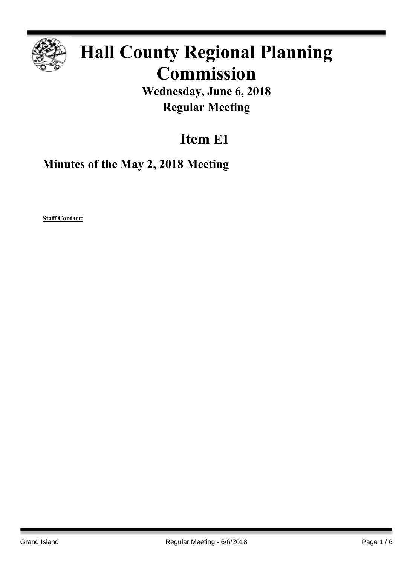

# **Hall County Regional Planning Commission**

**Wednesday, June 6, 2018 Regular Meeting**

# **Item E1**

**Minutes of the May 2, 2018 Meeting**

**Staff Contact:**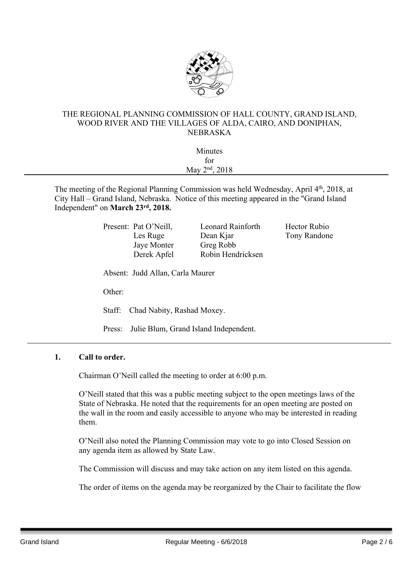

#### THE REGIONAL PLANNING COMMISSION OF HALL COUNTY, GRAND ISLAND, WOOD RIVER AND THE VILLAGES OF ALDA, CAIRO, AND DONIPHAN, NEBRASKA

| Minutes                    |  |
|----------------------------|--|
| for                        |  |
| May 2 <sup>nd</sup> , 2018 |  |
|                            |  |

The meeting of the Regional Planning Commission was held Wednesday, April 4<sup>th</sup>, 2018, at City Hall – Grand Island, Nebraska. Notice of this meeting appeared in the "Grand Island Independent" on **March 23rd , 2018.**

> Present: Pat O'Neill, Leonard Rainforth Hector Rubio Jaye Monter Greg Robb

Les Ruge Dean Kjar Tony Randone Derek Apfel Robin Hendricksen

Absent: Judd Allan, Carla Maurer

Other:

Staff: Chad Nabity, Rashad Moxey.

Press: Julie Blum, Grand Island Independent.

### **1. Call to order.**

Chairman O'Neill called the meeting to order at 6:00 p.m.

O'Neill stated that this was a public meeting subject to the open meetings laws of the State of Nebraska. He noted that the requirements for an open meeting are posted on the wall in the room and easily accessible to anyone who may be interested in reading them.

O'Neill also noted the Planning Commission may vote to go into Closed Session on any agenda item as allowed by State Law.

The Commission will discuss and may take action on any item listed on this agenda.

The order of items on the agenda may be reorganized by the Chair to facilitate the flow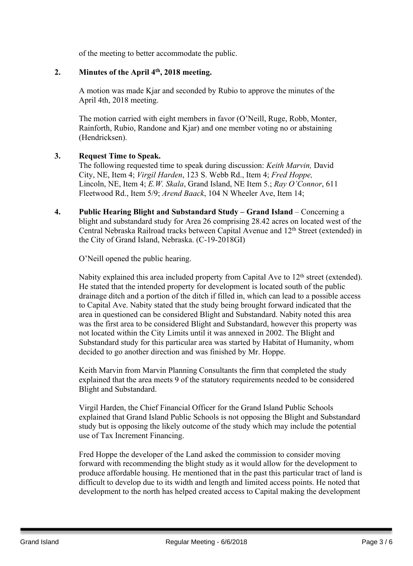of the meeting to better accommodate the public.

### **2. Minutes of the April 4 th , 2018 meeting.**

A motion was made Kjar and seconded by Rubio to approve the minutes of the April 4th, 2018 meeting.

The motion carried with eight members in favor (O'Neill, Ruge, Robb, Monter, Rainforth, Rubio, Randone and Kjar) and one member voting no or abstaining (Hendricksen).

### **3. Request Time to Speak.**

The following requested time to speak during discussion: *Keith Marvin,* David City, NE, Item 4; *Virgil Harden*, 123 S. Webb Rd., Item 4; *Fred Hoppe,* Lincoln, NE, Item 4; *E.W. Skala*, Grand Island, NE Item 5.; *Ray O'Connor*, 611 Fleetwood Rd., Item 5/9; *Arend Baack*, 104 N Wheeler Ave, Item 14;

**4. Public Hearing Blight and Substandard Study – Grand Island** – Concerning a blight and substandard study for Area 26 comprising 28.42 acres on located west of the Central Nebraska Railroad tracks between Capital Avenue and 12th Street (extended) in the City of Grand Island, Nebraska. (C-19-2018GI)

O'Neill opened the public hearing.

Nabity explained this area included property from Capital Ave to 12<sup>th</sup> street (extended). He stated that the intended property for development is located south of the public drainage ditch and a portion of the ditch if filled in, which can lead to a possible access to Capital Ave. Nabity stated that the study being brought forward indicated that the area in questioned can be considered Blight and Substandard. Nabity noted this area was the first area to be considered Blight and Substandard, however this property was not located within the City Limits until it was annexed in 2002. The Blight and Substandard study for this particular area was started by Habitat of Humanity, whom decided to go another direction and was finished by Mr. Hoppe.

Keith Marvin from Marvin Planning Consultants the firm that completed the study explained that the area meets 9 of the statutory requirements needed to be considered Blight and Substandard.

Virgil Harden, the Chief Financial Officer for the Grand Island Public Schools explained that Grand Island Public Schools is not opposing the Blight and Substandard study but is opposing the likely outcome of the study which may include the potential use of Tax Increment Financing.

Fred Hoppe the developer of the Land asked the commission to consider moving forward with recommending the blight study as it would allow for the development to produce affordable housing. He mentioned that in the past this particular tract of land is difficult to develop due to its width and length and limited access points. He noted that development to the north has helped created access to Capital making the development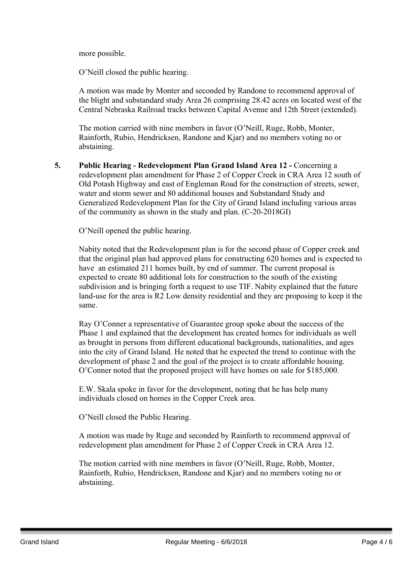more possible.

O'Neill closed the public hearing.

A motion was made by Monter and seconded by Randone to recommend approval of the blight and substandard study Area 26 comprising 28.42 acres on located west of the Central Nebraska Railroad tracks between Capital Avenue and 12th Street (extended).

The motion carried with nine members in favor (O'Neill, Ruge, Robb, Monter, Rainforth, Rubio, Hendricksen, Randone and Kjar) and no members voting no or abstaining.

**5. Public Hearing - Redevelopment Plan Grand Island Area 12 -** Concerning a redevelopment plan amendment for Phase 2 of Copper Creek in CRA Area 12 south of Old Potash Highway and east of Engleman Road for the construction of streets, sewer, water and storm sewer and 80 additional houses and Substandard Study and Generalized Redevelopment Plan for the City of Grand Island including various areas of the community as shown in the study and plan. (C-20-2018GI)

O'Neill opened the public hearing.

Nabity noted that the Redevelopment plan is for the second phase of Copper creek and that the original plan had approved plans for constructing 620 homes and is expected to have an estimated 211 homes built, by end of summer. The current proposal is expected to create 80 additional lots for construction to the south of the existing subdivision and is bringing forth a request to use TIF. Nabity explained that the future land-use for the area is R2 Low density residential and they are proposing to keep it the same.

Ray O'Conner a representative of Guarantee group spoke about the success of the Phase 1 and explained that the development has created homes for individuals as well as brought in persons from different educational backgrounds, nationalities, and ages into the city of Grand Island. He noted that he expected the trend to continue with the development of phase 2 and the goal of the project is to create affordable housing. O'Conner noted that the proposed project will have homes on sale for \$185,000.

E.W. Skala spoke in favor for the development, noting that he has help many individuals closed on homes in the Copper Creek area.

O'Neill closed the Public Hearing.

A motion was made by Ruge and seconded by Rainforth to recommend approval of redevelopment plan amendment for Phase 2 of Copper Creek in CRA Area 12.

The motion carried with nine members in favor (O'Neill, Ruge, Robb, Monter, Rainforth, Rubio, Hendricksen, Randone and Kjar) and no members voting no or abstaining.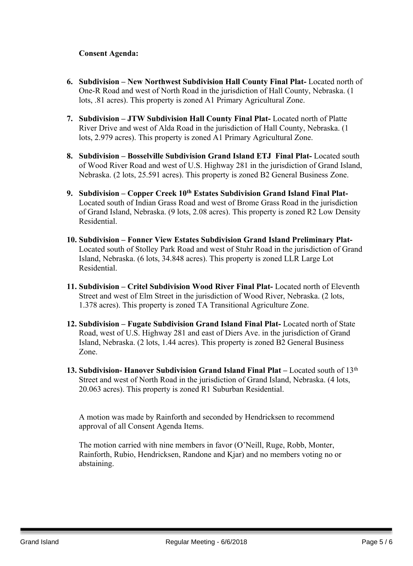## **Consent Agenda:**

- **6. Subdivision – New Northwest Subdivision Hall County Final Plat-** Located north of One-R Road and west of North Road in the jurisdiction of Hall County, Nebraska. (1 lots, .81 acres). This property is zoned A1 Primary Agricultural Zone.
- **7. Subdivision – JTW Subdivision Hall County Final Plat-** Located north of Platte River Drive and west of Alda Road in the jurisdiction of Hall County, Nebraska. (1 lots, 2.979 acres). This property is zoned A1 Primary Agricultural Zone.
- **8. Subdivision – Bosselville Subdivision Grand Island ETJ Final Plat-** Located south of Wood River Road and west of U.S. Highway 281 in the jurisdiction of Grand Island, Nebraska. (2 lots, 25.591 acres). This property is zoned B2 General Business Zone.
- **9. Subdivision – Copper Creek 10th Estates Subdivision Grand Island Final Plat-**Located south of Indian Grass Road and west of Brome Grass Road in the jurisdiction of Grand Island, Nebraska. (9 lots, 2.08 acres). This property is zoned R2 Low Density Residential.
- **10. Subdivision – Fonner View Estates Subdivision Grand Island Preliminary Plat-**Located south of Stolley Park Road and west of Stuhr Road in the jurisdiction of Grand Island, Nebraska. (6 lots, 34.848 acres). This property is zoned LLR Large Lot Residential.
- **11. Subdivision – Critel Subdivision Wood River Final Plat-** Located north of Eleventh Street and west of Elm Street in the jurisdiction of Wood River, Nebraska. (2 lots, 1.378 acres). This property is zoned TA Transitional Agriculture Zone.
- **12. Subdivision – Fugate Subdivision Grand Island Final Plat-** Located north of State Road, west of U.S. Highway 281 and east of Diers Ave. in the jurisdiction of Grand Island, Nebraska. (2 lots, 1.44 acres). This property is zoned B2 General Business Zone.
- **13. Subdivision- Hanover Subdivision Grand Island Final Plat –** Located south of 13th Street and west of North Road in the jurisdiction of Grand Island, Nebraska. (4 lots, 20.063 acres). This property is zoned R1 Suburban Residential.

A motion was made by Rainforth and seconded by Hendricksen to recommend approval of all Consent Agenda Items.

The motion carried with nine members in favor (O'Neill, Ruge, Robb, Monter, Rainforth, Rubio, Hendricksen, Randone and Kjar) and no members voting no or abstaining.